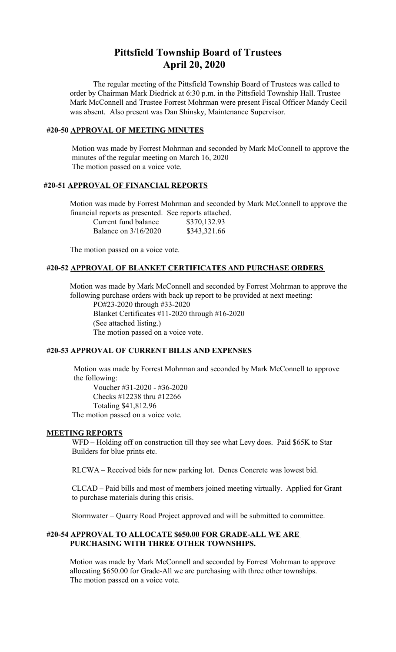# **Pittsfield Township Board of Trustees April 20, 2020**

The regular meeting of the Pittsfield Township Board of Trustees was called to order by Chairman Mark Diedrick at 6:30 p.m. in the Pittsfield Township Hall. Trustee Mark McConnell and Trustee Forrest Mohrman were present Fiscal Officer Mandy Cecil was absent. Also present was Dan Shinsky, Maintenance Supervisor.

## **#20-50 APPROVAL OF MEETING MINUTES**

 Motion was made by Forrest Mohrman and seconded by Mark McConnell to approve the minutes of the regular meeting on March 16, 2020 The motion passed on a voice vote.

## **#20-51 APPROVAL OF FINANCIAL REPORTS**

Motion was made by Forrest Mohrman and seconded by Mark McConnell to approve the financial reports as presented. See reports attached.

| Current fund balance | \$370,132.93 |
|----------------------|--------------|
| Balance on 3/16/2020 | \$343,321.66 |

The motion passed on a voice vote.

## **#20-52 APPROVAL OF BLANKET CERTIFICATES AND PURCHASE ORDERS**

Motion was made by Mark McConnell and seconded by Forrest Mohrman to approve the following purchase orders with back up report to be provided at next meeting:

PO#23-2020 through #33-2020 Blanket Certificates #11-2020 through #16-2020 (See attached listing.) The motion passed on a voice vote.

## **#20-53 APPROVAL OF CURRENT BILLS AND EXPENSES**

 Motion was made by Forrest Mohrman and seconded by Mark McConnell to approve the following:

Voucher #31-2020 - #36-2020 Checks #12238 thru #12266 Totaling \$41,812.96 The motion passed on a voice vote.

#### **MEETING REPORTS**

WFD – Holding off on construction till they see what Levy does. Paid \$65K to Star Builders for blue prints etc.

RLCWA – Received bids for new parking lot. Denes Concrete was lowest bid.

CLCAD – Paid bills and most of members joined meeting virtually. Applied for Grant to purchase materials during this crisis.

Stormwater – Quarry Road Project approved and will be submitted to committee.

## **#20-54 APPROVAL TO ALLOCATE \$650.00 FOR GRADE-ALL WE ARE PURCHASING WITH THREE OTHER TOWNSHIPS.**

Motion was made by Mark McConnell and seconded by Forrest Mohrman to approve allocating \$650.00 for Grade-All we are purchasing with three other townships. The motion passed on a voice vote.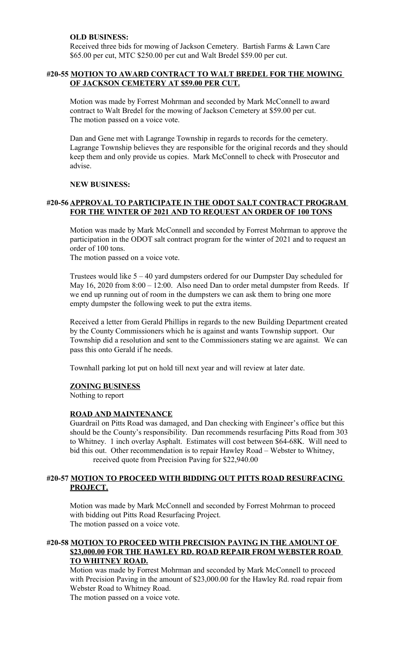## **OLD BUSINESS:**

Received three bids for mowing of Jackson Cemetery. Bartish Farms & Lawn Care \$65.00 per cut, MTC \$250.00 per cut and Walt Bredel \$59.00 per cut.

## **#20-55 MOTION TO AWARD CONTRACT TO WALT BREDEL FOR THE MOWING OF JACKSON CEMETERY AT \$59.00 PER CUT.**

Motion was made by Forrest Mohrman and seconded by Mark McConnell to award contract to Walt Bredel for the mowing of Jackson Cemetery at \$59.00 per cut. The motion passed on a voice vote.

Dan and Gene met with Lagrange Township in regards to records for the cemetery. Lagrange Township believes they are responsible for the original records and they should keep them and only provide us copies. Mark McConnell to check with Prosecutor and advise.

## **NEW BUSINESS:**

## **#20-56 APPROVAL TO PARTICIPATE IN THE ODOT SALT CONTRACT PROGRAM FOR THE WINTER OF 2021 AND TO REQUEST AN ORDER OF 100 TONS**

Motion was made by Mark McConnell and seconded by Forrest Mohrman to approve the participation in the ODOT salt contract program for the winter of 2021 and to request an order of 100 tons.

The motion passed on a voice vote.

Trustees would like 5 – 40 yard dumpsters ordered for our Dumpster Day scheduled for May 16, 2020 from  $8:00 - 12:00$ . Also need Dan to order metal dumpster from Reeds. If we end up running out of room in the dumpsters we can ask them to bring one more empty dumpster the following week to put the extra items.

Received a letter from Gerald Phillips in regards to the new Building Department created by the County Commissioners which he is against and wants Township support. Our Township did a resolution and sent to the Commissioners stating we are against. We can pass this onto Gerald if he needs.

Townhall parking lot put on hold till next year and will review at later date.

## **ZONING BUSINESS**

Nothing to report

## **ROAD AND MAINTENANCE**

Guardrail on Pitts Road was damaged, and Dan checking with Engineer's office but this should be the County's responsibility. Dan recommends resurfacing Pitts Road from 303 to Whitney. 1 inch overlay Asphalt. Estimates will cost between \$64-68K. Will need to bid this out. Other recommendation is to repair Hawley Road – Webster to Whitney, received quote from Precision Paving for \$22,940.00

## **#20-57 MOTION TO PROCEED WITH BIDDING OUT PITTS ROAD RESURFACING PROJECT.**

Motion was made by Mark McConnell and seconded by Forrest Mohrman to proceed with bidding out Pitts Road Resurfacing Project. The motion passed on a voice vote.

## **#20-58 MOTION TO PROCEED WITH PRECISION PAVING IN THE AMOUNT OF \$23,000.00 FOR THE HAWLEY RD. ROAD REPAIR FROM WEBSTER ROAD TO WHITNEY ROAD.**

Motion was made by Forrest Mohrman and seconded by Mark McConnell to proceed with Precision Paving in the amount of \$23,000.00 for the Hawley Rd. road repair from Webster Road to Whitney Road.

The motion passed on a voice vote.